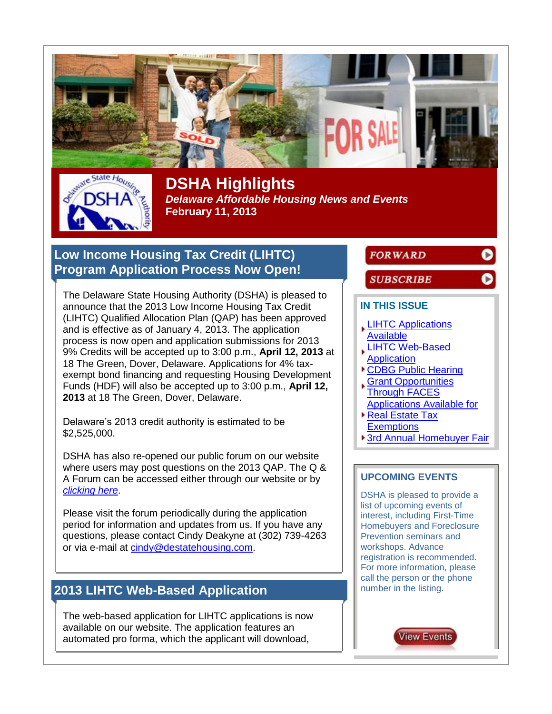

**DSHA Highlights**  *Delaware Affordable Housing News and Events* **February 11, 2013**

### <span id="page-0-0"></span>**Low Income Housing Tax Credit (LIHTC) Program Application Process Now Open!**

The Delaware State Housing Authority (DSHA) is pleased to announce that the 2013 Low Income Housing Tax Credit (LIHTC) Qualified Allocation Plan (QAP) has been approved and is effective as of January 4, 2013. The application process is now open and application submissions for 2013 9% Credits will be accepted up to 3:00 p.m., **April 12, 2013** at 18 The Green, Dover, Delaware. Applications for 4% taxexempt bond financing and requesting Housing Development Funds (HDF) will also be accepted up to 3:00 p.m., **April 12, 2013** at 18 The Green, Dover, Delaware.

Delaware's 2013 credit authority is estimated to be \$2,525,000.

DSHA has also re-opened our public forum on our website where users may post questions on the 2013 QAP. The Q & A Forum can be accessed either through our website or by *[clicking here](http://www.magnet101.com/link.cfm?r=766221435&sid=22704030&m=2491803&u=DSHA&j=13049224&s=http://www.destatehousing.com/forum)*.

Please visit the forum periodically during the application period for information and updates from us. If you have any questions, please contact Cindy Deakyne at (302) 739-4263 or via e-mail at [cindy@destatehousing.com.](mailto:cindy@destatehousing.com)

# <span id="page-0-1"></span>**2013 LIHTC Web-Based Application**

The web-based application for LIHTC applications is now available on our website. The application features an automated pro forma, which the applicant will download,

### **FORWARD**

O

D

#### **SUBSCRIBE**

#### **IN THIS ISSUE**

- **LIHTC Applications** [Available](#page-0-0)
- [LIHTC Web-Based](#page-0-1)
- **[Application](#page-0-1)**
- [CDBG Public Hearing](#page-1-0) [Grant Opportunities](#page-1-1)
- [Through FACES](#page-1-1) [Applications Available for](#page-2-0)
- ▶ Real Estate Tax
- **[Exemptions](#page-2-0)**
- [3rd Annual Homebuyer Fair](#page-2-1)

#### **UPCOMING EVENTS**

DSHA is pleased to provide a list of upcoming events of interest, including First-Time Homebuyers and Foreclosure Prevention seminars and workshops. Advance registration is recommended. For more information, please call the person or the phone number in the listing.

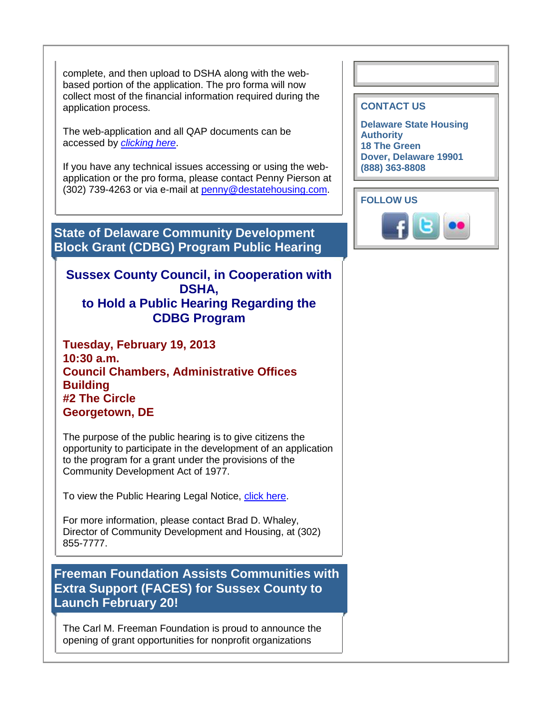complete, and then upload to DSHA along with the webbased portion of the application. The pro forma will now collect most of the financial information required during the application process.

The web-application and all QAP documents can be accessed by *[clicking here](http://www.magnet101.com/link.cfm?r=766221435&sid=22704032&m=2491803&u=DSHA&j=13049224&s=http://www.destatehousing.com/Developers/dv_lihtc.php)*.

If you have any technical issues accessing or using the webapplication or the pro forma, please contact Penny Pierson at (302) 739-4263 or via e-mail at [penny@destatehousing.com.](mailto:penny@destatehousing.com)

<span id="page-1-0"></span>**State of Delaware Community Development Block Grant (CDBG) Program Public Hearing**

### **Sussex County Council, in Cooperation with DSHA, to Hold a Public Hearing Regarding the CDBG Program**

**Tuesday, February 19, 2013 10:30 a.m. Council Chambers, Administrative Offices Building #2 The Circle Georgetown, DE**

The purpose of the public hearing is to give citizens the opportunity to participate in the development of an application to the program for a grant under the provisions of the Community Development Act of 1977.

To view the Public Hearing Legal Notice, [click here.](http://www.magnet101.com/link.cfm?r=766221435&sid=22704035&m=2491803&u=DSHA&j=13049224&s=http://images.magnetmail.net/images/clients/DSHA/attach/CDBGPubilcHearing020413.pdf)

For more information, please contact Brad D. Whaley, Director of Community Development and Housing, at (302) 855-7777.

<span id="page-1-1"></span>**Freeman Foundation Assists Communities with Extra Support (FACES) for Sussex County to Launch February 20!**

The Carl M. Freeman Foundation is proud to announce the opening of grant opportunities for nonprofit organizations

#### **CONTACT US**

**Delaware State Housing Authority 18 The Green Dover, Delaware 19901 (888) 363-8808**

**FOLLOW US**

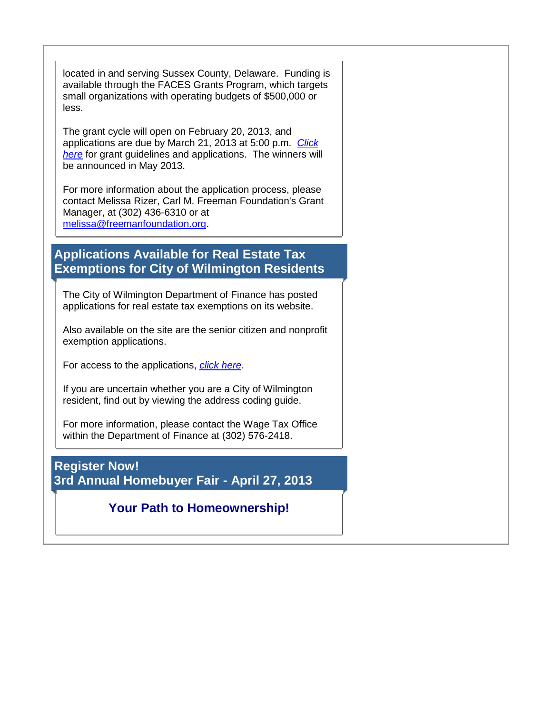located in and serving Sussex County, Delaware. Funding is available through the FACES Grants Program, which targets small organizations with operating budgets of \$500,000 or less.

The grant cycle will open on February 20, 2013, and applications are due by March 21, 2013 at 5:00 p.m. *[Click](http://www.magnet101.com/link.cfm?r=766221435&sid=22704037&m=2491803&u=DSHA&j=13049224&s=http://www.carlfreemanfoundation.org)  [here](http://www.magnet101.com/link.cfm?r=766221435&sid=22704037&m=2491803&u=DSHA&j=13049224&s=http://www.carlfreemanfoundation.org)* for grant guidelines and applications. The winners will be announced in May 2013.

For more information about the application process, please contact Melissa Rizer, Carl M. Freeman Foundation's Grant Manager, at (302) 436-6310 or at [melissa@freemanfoundation.org.](mailto:melissa@freemanfoundation.org)

## <span id="page-2-0"></span>**Applications Available for Real Estate Tax Exemptions for City of Wilmington Residents**

The City of Wilmington Department of Finance has posted applications for real estate tax exemptions on its website.

Also available on the site are the senior citizen and nonprofit exemption applications.

For access to the applications, *[click here](http://www.magnet101.com/link.cfm?r=766221435&sid=22704039&m=2491803&u=DSHA&j=13049224&s=http://www.WilmingtonDE.gov/government/taxforms)*.

If you are uncertain whether you are a City of Wilmington resident, find out by viewing the address coding guide.

For more information, please contact the Wage Tax Office within the Department of Finance at (302) 576-2418.

<span id="page-2-1"></span>**Register Now! 3rd Annual Homebuyer Fair - April 27, 2013**

# **Your Path to Homeownership!**